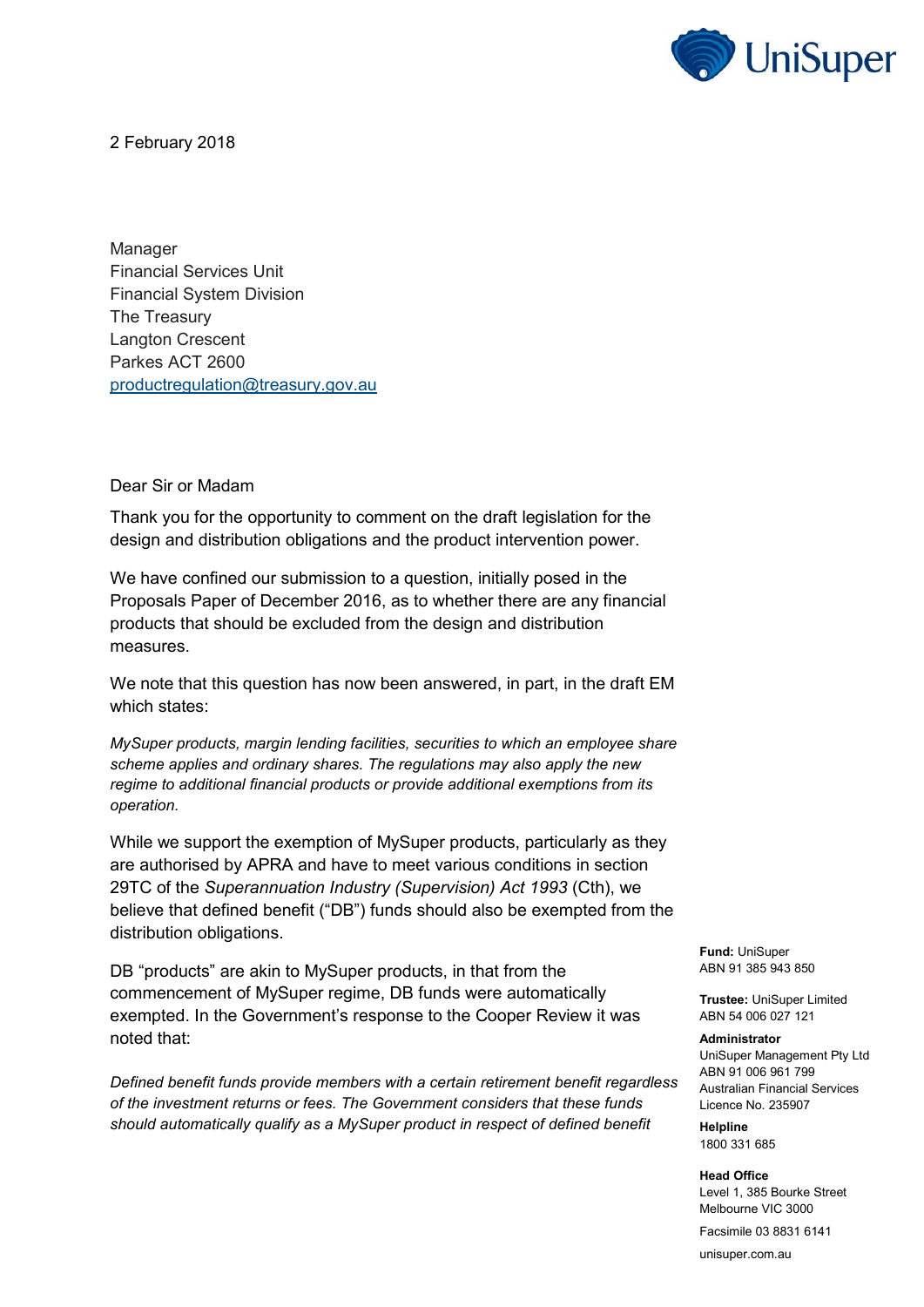

2 February 2018

Manager Financial Services Unit Financial System Division The Treasury Langton Crescent Parkes ACT 2600 [productregulation@treasury.gov.au](mailto:productregulation@treasury.gov.au?subject=Response+to%3A+Design+and+Distribution+Obligations+and+Product+Intervention+Power+%26%238211%3B+Draft+Legislation)

Dear Sir or Madam

Thank you for the opportunity to comment on the draft legislation for the design and distribution obligations and the product intervention power.

We have confined our submission to a question, initially posed in the Proposals Paper of December 2016, as to whether there are any financial products that should be excluded from the design and distribution measures.

We note that this question has now been answered, in part, in the draft EM which states:

*MySuper products, margin lending facilities, securities to which an employee share scheme applies and ordinary shares. The regulations may also apply the new regime to additional financial products or provide additional exemptions from its operation.*

While we support the exemption of MySuper products, particularly as they are authorised by APRA and have to meet various conditions in section 29TC of the *Superannuation Industry (Supervision) Act 1993* (Cth), we believe that defined benefit ("DB") funds should also be exempted from the distribution obligations.

DB "products" are akin to MySuper products, in that from the commencement of MySuper regime, DB funds were automatically exempted. In the Government's response to the Cooper Review it was noted that:

*Defined benefit funds provide members with a certain retirement benefit regardless of the investment returns or fees. The Government considers that these funds should automatically qualify as a MySuper product in respect of defined benefit* 

**Fund:** UniSuper ABN 91 385 943 850

**Trustee:** UniSuper Limited ABN 54 006 027 121

## **Administrator**

UniSuper Management Pty Ltd ABN 91 006 961 799 Australian Financial Services Licence No. 235907

**Helpline** 1800 331 685

**Head Office** Level 1, 385 Bourke Street Melbourne VIC 3000

Facsimile 03 8831 6141

unisuper.com.au